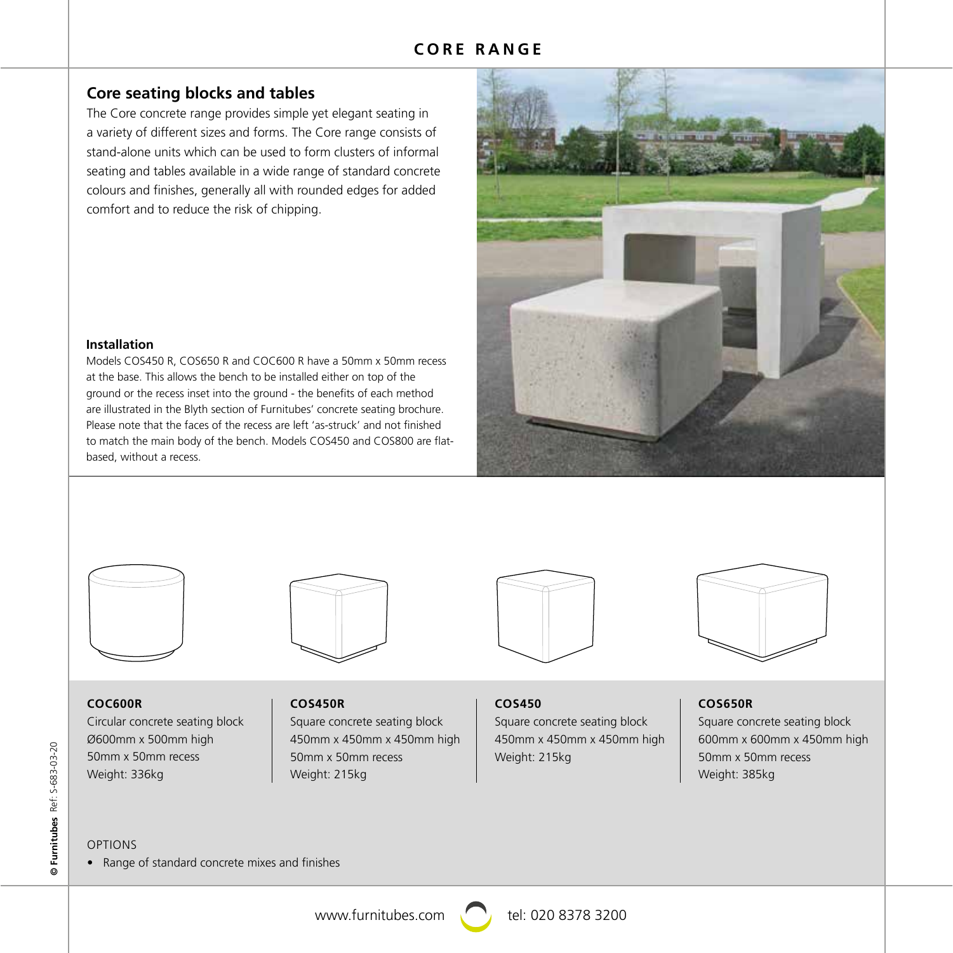# **CORE RANGE**

# **Core seating blocks and tables**

The Core concrete range provides simple yet elegant seating in a variety of different sizes and forms. The Core range consists of stand-alone units which can be used to form clusters of informal seating and tables available in a wide range of standard concrete colours and finishes, generally all with rounded edges for added comfort and to reduce the risk of chipping.



## **Installation**

Models COS450 R, COS650 R and COC600 R have a 50mm x 50mm recess at the base. This allows the bench to be installed either on top of the ground or the recess inset into the ground - the benefits of each method are illustrated in the Blyth section of Furnitubes' concrete seating brochure. Please note that the faces of the recess are left 'as-struck' and not finished to match the main body of the bench. Models COS450 and COS800 are flatbased, without a recess.





**COS450R**

# **COC600R**

Circular concrete seating block Ø600mm x 500mm high 50mm x 50mm recess Weight: 336kg

Square concrete seating block 450mm x 450mm x 450mm high 50mm x 50mm recess Weight: 215kg



# **COS450**

Square concrete seating block 450mm x 450mm x 450mm high Weight: 215kg

## **COS650R**

Square concrete seating block 600mm x 600mm x 450mm high 50mm x 50mm recess Weight: 385kg

## OPTIONS

• Range of standard concrete mixes and finishes